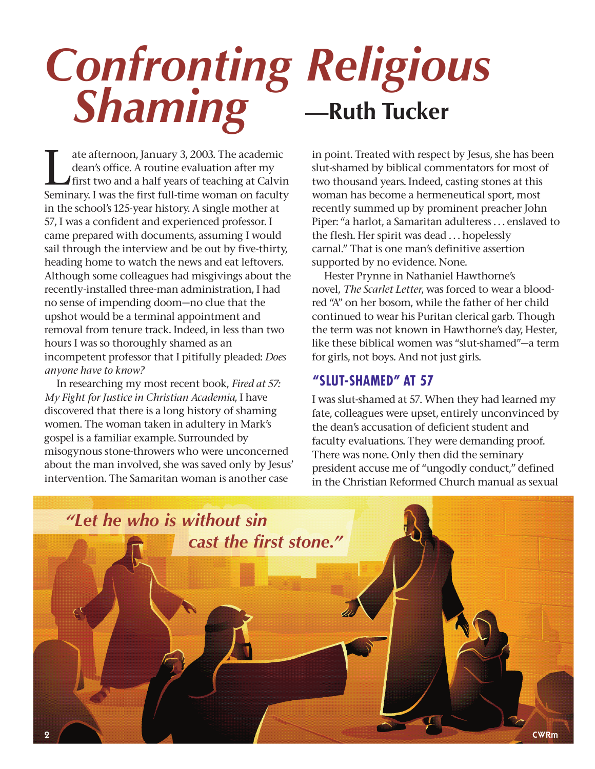# *Confronting Religious Shaming* **—Ruth Tucker**

Tutte afternoon, January 3, 2003. The academic<br>dean's office. A routine evaluation after my<br>first two and a half years of teaching at Calvin<br>seminary Lyns the first full time were an faculty dean's office. A routine evaluation after my Seminary. I was the first full-time woman on faculty in the school's 125-year history. A single mother at 57, I was a confident and experienced professor. I came prepared with documents, assuming I would sail through the interview and be out by five-thirty, heading home to watch the news and eat leftovers. Although some colleagues had misgivings about the recently-installed three-man administration, I had no sense of impending doom—no clue that the upshot would be a terminal appointment and removal from tenure track. Indeed, in less than two hours I was so thoroughly shamed as an incompetent professor that I pitifully pleaded: *Does anyone have to know?*

In researching my most recent book, *Fired at 57: My Fight for Justice in Christian Academia*, I have discovered that there is a long history of shaming women. The woman taken in adultery in Mark's gospel is a familiar example. Surrounded by misogynous stone-throwers who were unconcerned about the man involved, she was saved only by Jesus' intervention. The Samaritan woman is another case

in point. Treated with respect by Jesus, she has been slut-shamed by biblical commentators for most of two thousand years. Indeed, casting stones at this woman has become a hermeneutical sport, most recently summed up by prominent preacher John Piper: "a harlot, a Samaritan adulteress . . . enslaved to the flesh. Her spirit was dead . . . hopelessly carnal." That is one man's definitive assertion supported by no evidence. None.

Hester Prynne in Nathaniel Hawthorne's novel, *The Scarlet Letter*, was forced to wear a bloodred "A" on her bosom, while the father of her child continued to wear his Puritan clerical garb. Though the term was not known in Hawthorne's day, Hester, like these biblical women was "slut-shamed"—a term for girls, not boys. And not just girls.

### **"SLUT-SHAMED" AT 57**

I was slut-shamed at 57. When they had learned my fate, colleagues were upset, entirely unconvinced by the dean's accusation of deficient student and faculty evaluations. They were demanding proof. There was none. Only then did the seminary president accuse me of "ungodly conduct," defined in the Christian Reformed Church manual as sexual

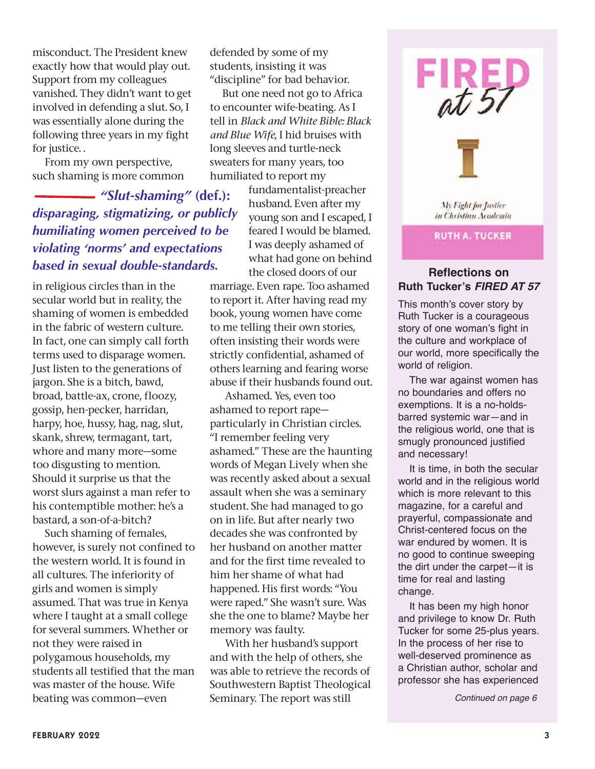misconduct. The President knew exactly how that would play out. Support from my colleagues vanished. They didn't want to get involved in defending a slut. So, I was essentially alone during the following three years in my fight for justice. .

From my own perspective, such shaming is more common

*"Slut-shaming"* **(def.):** *disparaging, stigmatizing, or publicly humiliating women perceived to be violating 'norms' and expectations based in sexual double-standards.* 

in religious circles than in the secular world but in reality, the shaming of women is embedded in the fabric of western culture. In fact, one can simply call forth terms used to disparage women. Just listen to the generations of jargon. She is a bitch, bawd, broad, battle-ax, crone, floozy, gossip, hen-pecker, harridan, harpy, hoe, hussy, hag, nag, slut, skank, shrew, termagant, tart, whore and many more—some too disgusting to mention. Should it surprise us that the worst slurs against a man refer to his contemptible mother: he's a bastard, a son-of-a-bitch?

Such shaming of females, however, is surely not confined to the western world. It is found in all cultures. The inferiority of girls and women is simply assumed. That was true in Kenya where I taught at a small college for several summers. Whether or not they were raised in polygamous households, my students all testified that the man was master of the house. Wife beating was common—even

defended by some of my students, insisting it was "discipline" for bad behavior.

But one need not go to Africa to encounter wife-beating. As I tell in *Black and White Bible: Black and Blue Wife*, I hid bruises with long sleeves and turtle-neck sweaters for many years, too humiliated to report my

> fundamentalist-preacher husband. Even after my young son and I escaped, I feared I would be blamed. I was deeply ashamed of what had gone on behind the closed doors of our

marriage. Even rape. Too ashamed to report it. After having read my book, young women have come to me telling their own stories, often insisting their words were strictly confidential, ashamed of others learning and fearing worse abuse if their husbands found out.

 Ashamed. Yes, even too ashamed to report rape particularly in Christian circles. "I remember feeling very ashamed." These are the haunting words of Megan Lively when she was recently asked about a sexual assault when she was a seminary student. She had managed to go on in life. But after nearly two decades she was confronted by her husband on another matter and for the first time revealed to him her shame of what had happened. His first words: "You were raped." She wasn't sure. Was she the one to blame? Maybe her memory was faulty.

 With her husband's support and with the help of others, she was able to retrieve the records of Southwestern Baptist Theological Seminary. The report was still



My Fight for Justice in Christian Academia

#### **RUTH A. TUCKER**

#### **Reflections on Ruth Tucker's** *FIRED AT 57*

This month's cover story by Ruth Tucker is a courageous story of one woman's fight in the culture and workplace of our world, more specifically the world of religion.

The war against women has no boundaries and offers no exemptions. It is a no-holdsbarred systemic war—and in the religious world, one that is smugly pronounced justified and necessary!

It is time, in both the secular world and in the religious world which is more relevant to this magazine, for a careful and prayerful, compassionate and Christ-centered focus on the war endured by women. It is no good to continue sweeping the dirt under the carpet—it is time for real and lasting change.

It has been my high honor and privilege to know Dr. Ruth Tucker for some 25-plus years. In the process of her rise to well-deserved prominence as a Christian author, scholar and professor she has experienced

*Continued on page 6*